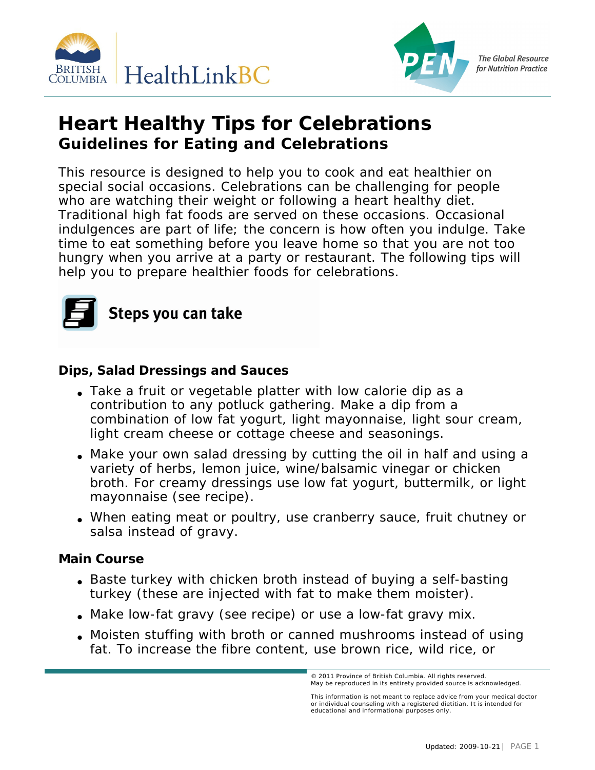



**The Global Resource** for Nutrition Practice

## **Heart Healthy Tips for Celebrations Guidelines for Eating and Celebrations**

This resource is designed to help you to cook and eat healthier on special social occasions. Celebrations can be challenging for people who are watching their weight or following a heart healthy diet. Traditional high fat foods are served on these occasions. Occasional indulgences are part of life; the concern is how often you indulge. Take time to eat something before you leave home so that you are not too hungry when you arrive at a party or restaurant. The following tips will help you to prepare healthier foods for celebrations.



**Dips, Salad Dressings and Sauces**

- Take a fruit or vegetable platter with low calorie dip as a contribution to any potluck gathering. Make a dip from a combination of low fat yogurt, light mayonnaise, light sour cream, light cream cheese or cottage cheese and seasonings.
- Make your own salad dressing by cutting the oil in half and using a variety of herbs, lemon juice, wine/balsamic vinegar or chicken broth. For creamy dressings use low fat yogurt, buttermilk, or light mayonnaise (see recipe).
- When eating meat or poultry, use cranberry sauce, fruit chutney or salsa instead of gravy.

**Main Course**

- Baste turkey with chicken broth instead of buying a self-basting turkey (these are injected with fat to make them moister).
- Make low-fat gravy (see recipe) or use a low-fat gravy mix.
- Moisten stuffing with broth or canned mushrooms instead of using fat. To increase the fibre content, use brown rice, wild rice, or

ovince of British Columbia © 2010 Dietitians of Canada. All rights reserved. © 2011 Province of British Columbia. All rights reserved. May be reproduced in its entirety provided source is acknowledged.

This information is not meant to replace advice from your medical doctor<br>or individual counseling with a registered dietitian. It is intended for educational and informational purposes only.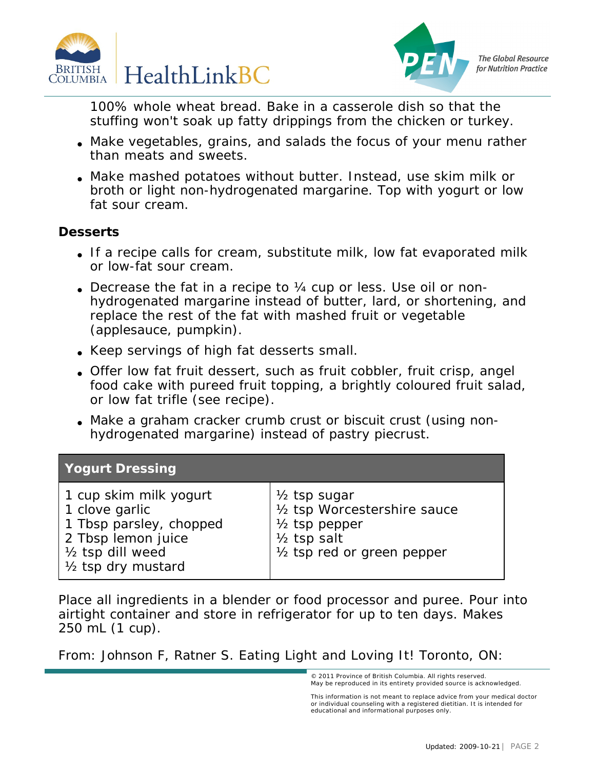



**The Global Resource** for Nutrition Practice

100% whole wheat bread. Bake in a casserole dish so that the stuffing won't soak up fatty drippings from the chicken or turkey.

- Make vegetables, grains, and salads the focus of your menu rather than meats and sweets.
- Make mashed potatoes without butter. Instead, use skim milk or broth or light non-hydrogenated margarine. Top with yogurt or low fat sour cream.

## **Desserts**

- If a recipe calls for cream, substitute milk, low fat evaporated milk or low-fat sour cream.
- Decrease the fat in a recipe to  $\frac{1}{4}$  cup or less. Use oil or nonhydrogenated margarine instead of butter, lard, or shortening, and replace the rest of the fat with mashed fruit or vegetable (applesauce, pumpkin).
- Keep servings of high fat desserts small.
- Offer low fat fruit dessert, such as fruit cobbler, fruit crisp, angel food cake with pureed fruit topping, a brightly coloured fruit salad, or low fat trifle (see recipe).
- Make a graham cracker crumb crust or biscuit crust (using nonhydrogenated margarine) instead of pastry piecrust.

| Yogurt Dressing                                                                                                                                               |                                                                                                                                              |
|---------------------------------------------------------------------------------------------------------------------------------------------------------------|----------------------------------------------------------------------------------------------------------------------------------------------|
| 1 cup skim milk yogurt<br>1 clove garlic<br>1 Tbsp parsley, chopped<br>2 Tbsp lemon juice<br>1/ <sub>2</sub> tsp dill weed<br>1/ <sub>2</sub> tsp dry mustard | $\frac{1}{2}$ tsp sugar<br>1/2 tsp Worcestershire sauce<br>$\frac{1}{2}$ tsp pepper<br>$\frac{1}{2}$ tsp salt<br>1/2 tsp red or green pepper |

Place all ingredients in a blender or food processor and puree. Pour into airtight container and store in refrigerator for up to ten days. Makes 250 mL (1 cup).

From: Johnson F, Ratner S. *Eating Light and Loving It!* Toronto, ON:

This information is not meant to replace advice from your medical doctor<br>or individual counseling with a registered dietitian. It is intended for educational and informational purposes only.

<sup>© 2011</sup> Province of British Columbia. All rights reserved. May be reproduced in its entirety provided source is acknowledged.<br>.